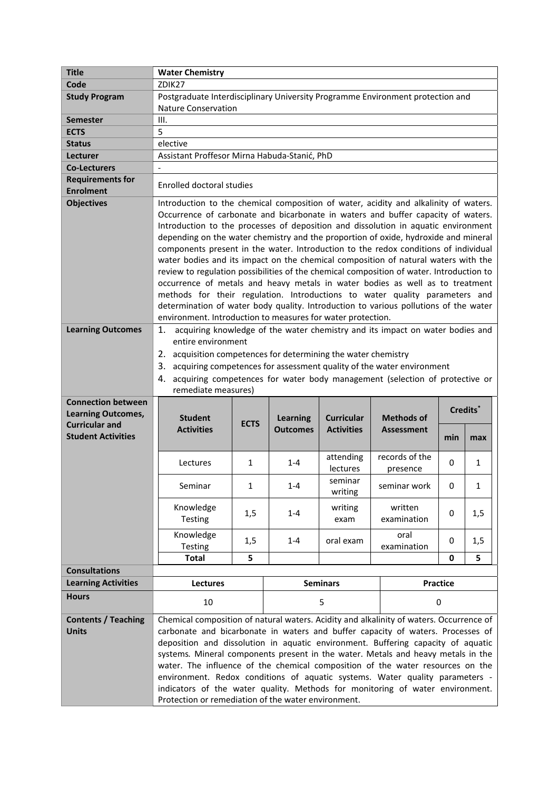| <b>Title</b>                                | <b>Water Chemistry</b>                                                                                                                                                    |             |                 |                   |                   |                 |                      |
|---------------------------------------------|---------------------------------------------------------------------------------------------------------------------------------------------------------------------------|-------------|-----------------|-------------------|-------------------|-----------------|----------------------|
| Code                                        | ZDIK27                                                                                                                                                                    |             |                 |                   |                   |                 |                      |
| <b>Study Program</b>                        | Postgraduate Interdisciplinary University Programme Environment protection and                                                                                            |             |                 |                   |                   |                 |                      |
|                                             | <b>Nature Conservation</b>                                                                                                                                                |             |                 |                   |                   |                 |                      |
| Semester                                    | III.                                                                                                                                                                      |             |                 |                   |                   |                 |                      |
| <b>ECTS</b>                                 | 5                                                                                                                                                                         |             |                 |                   |                   |                 |                      |
| <b>Status</b>                               | elective                                                                                                                                                                  |             |                 |                   |                   |                 |                      |
| Lecturer                                    | Assistant Proffesor Mirna Habuda-Stanić, PhD                                                                                                                              |             |                 |                   |                   |                 |                      |
| <b>Co-Lecturers</b>                         |                                                                                                                                                                           |             |                 |                   |                   |                 |                      |
| <b>Requirements for</b><br><b>Enrolment</b> | <b>Enrolled doctoral studies</b>                                                                                                                                          |             |                 |                   |                   |                 |                      |
| <b>Objectives</b>                           | Introduction to the chemical composition of water, acidity and alkalinity of waters.                                                                                      |             |                 |                   |                   |                 |                      |
|                                             | Occurrence of carbonate and bicarbonate in waters and buffer capacity of waters.                                                                                          |             |                 |                   |                   |                 |                      |
|                                             | Introduction to the processes of deposition and dissolution in aquatic environment                                                                                        |             |                 |                   |                   |                 |                      |
|                                             | depending on the water chemistry and the proportion of oxide, hydroxide and mineral                                                                                       |             |                 |                   |                   |                 |                      |
|                                             | components present in the water. Introduction to the redox conditions of individual                                                                                       |             |                 |                   |                   |                 |                      |
|                                             | water bodies and its impact on the chemical composition of natural waters with the                                                                                        |             |                 |                   |                   |                 |                      |
|                                             | review to regulation possibilities of the chemical composition of water. Introduction to<br>occurrence of metals and heavy metals in water bodies as well as to treatment |             |                 |                   |                   |                 |                      |
|                                             | methods for their regulation. Introductions to water quality parameters and                                                                                               |             |                 |                   |                   |                 |                      |
|                                             |                                                                                                                                                                           |             |                 |                   |                   |                 |                      |
|                                             | determination of water body quality. Introduction to various pollutions of the water<br>environment. Introduction to measures for water protection.                       |             |                 |                   |                   |                 |                      |
| <b>Learning Outcomes</b>                    | 1. acquiring knowledge of the water chemistry and its impact on water bodies and                                                                                          |             |                 |                   |                   |                 |                      |
|                                             | entire environment                                                                                                                                                        |             |                 |                   |                   |                 |                      |
|                                             | 2. acquisition competences for determining the water chemistry                                                                                                            |             |                 |                   |                   |                 |                      |
|                                             | 3. acquiring competences for assessment quality of the water environment                                                                                                  |             |                 |                   |                   |                 |                      |
|                                             | 4. acquiring competences for water body management (selection of protective or                                                                                            |             |                 |                   |                   |                 |                      |
|                                             | remediate measures)                                                                                                                                                       |             |                 |                   |                   |                 |                      |
|                                             |                                                                                                                                                                           |             |                 |                   |                   |                 |                      |
| <b>Connection between</b>                   |                                                                                                                                                                           |             |                 |                   |                   |                 |                      |
| <b>Learning Outcomes,</b>                   |                                                                                                                                                                           |             |                 |                   |                   |                 | Credits <sup>*</sup> |
| <b>Curricular and</b>                       | <b>Student</b>                                                                                                                                                            | <b>ECTS</b> | <b>Learning</b> | <b>Curricular</b> | <b>Methods of</b> |                 |                      |
| <b>Student Activities</b>                   | <b>Activities</b>                                                                                                                                                         |             | <b>Outcomes</b> | <b>Activities</b> | <b>Assessment</b> | min             | max                  |
|                                             |                                                                                                                                                                           |             |                 |                   |                   |                 |                      |
|                                             | Lectures                                                                                                                                                                  | 1           | $1 - 4$         | attending         | records of the    | 0               | 1                    |
|                                             |                                                                                                                                                                           |             |                 | lectures          | presence          |                 |                      |
|                                             | Seminar                                                                                                                                                                   | 1           | $1 - 4$         | seminar           | seminar work      | 0               | 1                    |
|                                             |                                                                                                                                                                           |             |                 | writing           |                   |                 |                      |
|                                             | Knowledge                                                                                                                                                                 | 1,5         | $1 - 4$         | writing           | written           | 0               | 1,5                  |
|                                             | Testing                                                                                                                                                                   |             |                 | exam              | examination       |                 |                      |
|                                             | Knowledge                                                                                                                                                                 |             | $1 - 4$         |                   | oral              | 0               |                      |
|                                             | Testing                                                                                                                                                                   | 1,5         |                 | oral exam         | examination       |                 | 1,5                  |
|                                             | <b>Total</b>                                                                                                                                                              | 5           |                 |                   |                   | 0               | 5                    |
| <b>Consultations</b>                        |                                                                                                                                                                           |             |                 |                   |                   |                 |                      |
| <b>Learning Activities</b>                  | Lectures                                                                                                                                                                  |             |                 | <b>Seminars</b>   |                   | <b>Practice</b> |                      |
| <b>Hours</b>                                | 10                                                                                                                                                                        |             |                 | 5                 |                   | 0               |                      |
| <b>Contents / Teaching</b>                  | Chemical composition of natural waters. Acidity and alkalinity of waters. Occurrence of                                                                                   |             |                 |                   |                   |                 |                      |
| <b>Units</b>                                | carbonate and bicarbonate in waters and buffer capacity of waters. Processes of                                                                                           |             |                 |                   |                   |                 |                      |
|                                             | deposition and dissolution in aquatic environment. Buffering capacity of aquatic                                                                                          |             |                 |                   |                   |                 |                      |
|                                             | systems. Mineral components present in the water. Metals and heavy metals in the                                                                                          |             |                 |                   |                   |                 |                      |
|                                             | water. The influence of the chemical composition of the water resources on the                                                                                            |             |                 |                   |                   |                 |                      |
|                                             | environment. Redox conditions of aquatic systems. Water quality parameters -                                                                                              |             |                 |                   |                   |                 |                      |
|                                             | indicators of the water quality. Methods for monitoring of water environment.<br>Protection or remediation of the water environment.                                      |             |                 |                   |                   |                 |                      |